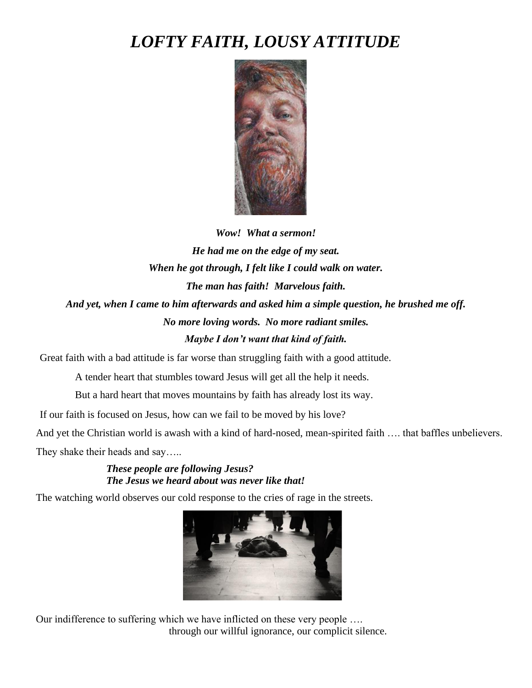## *LOFTY FAITH, LOUSY ATTITUDE*



*Wow! What a sermon! He had me on the edge of my seat. When he got through, I felt like I could walk on water. The man has faith! Marvelous faith. And yet, when I came to him afterwards and asked him a simple question, he brushed me off. No more loving words. No more radiant smiles. Maybe I don't want that kind of faith.*

Great faith with a bad attitude is far worse than struggling faith with a good attitude.

A tender heart that stumbles toward Jesus will get all the help it needs.

But a hard heart that moves mountains by faith has already lost its way.

If our faith is focused on Jesus, how can we fail to be moved by his love?

And yet the Christian world is awash with a kind of hard-nosed, mean-spirited faith …. that baffles unbelievers.

They shake their heads and say.....

## *These people are following Jesus? The Jesus we heard about was never like that!*

The watching world observes our cold response to the cries of rage in the streets.



Our indifference to suffering which we have inflicted on these very people …. through our willful ignorance, our complicit silence.